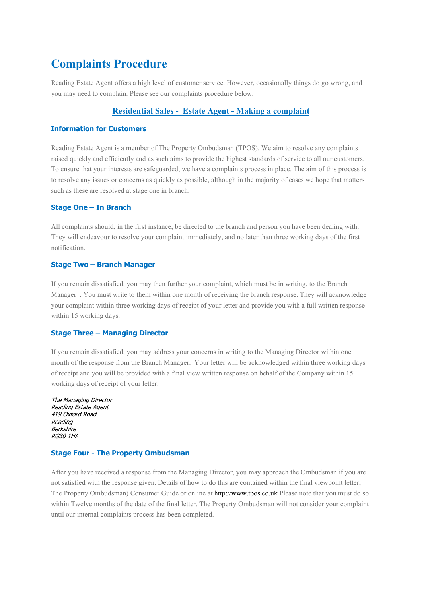# **Complaints Procedure**

Reading Estate Agent offers a high level of customer service. However, occasionally things do go wrong, and you may need to complain. Please see our complaints procedure below.

# **Residential Sales - Estate Agent - Making a complaint**

# **Information for Customers**

Reading Estate Agent is a member of The Property Ombudsman (TPOS). We aim to resolve any complaints raised quickly and efficiently and as such aims to provide the highest standards of service to all our customers. To ensure that your interests are safeguarded, we have a complaints process in place. The aim of this process is to resolve any issues or concerns as quickly as possible, although in the majority of cases we hope that matters such as these are resolved at stage one in branch.

# **Stage One – In Branch**

All complaints should, in the first instance, be directed to the branch and person you have been dealing with. They will endeavour to resolve your complaint immediately, and no later than three working days of the first notification.

### **Stage Two – Branch Manager**

If you remain dissatisfied, you may then further your complaint, which must be in writing, to the Branch Manager . You must write to them within one month of receiving the branch response. They will acknowledge your complaint within three working days of receipt of your letter and provide you with a full written response within 15 working days.

# **Stage Three – Managing Director**

If you remain dissatisfied, you may address your concerns in writing to the Managing Director within one month of the response from the Branch Manager. Your letter will be acknowledged within three working days of receipt and you will be provided with a final view written response on behalf of the Company within 15 working days of receipt of your letter.

| The Managing Director |
|-----------------------|
| Reading Estate Agent  |
| 419 Oxford Road       |
| Reading               |
| Berkshire             |
| <i>RG30 1HA</i>       |
|                       |

### **Stage Four - The Property Ombudsman**

After you have received a response from the Managing Director, you may approach the Ombudsman if you are not satisfied with the response given. Details of how to do this are contained within the final viewpoint letter, The Property Ombudsman) Consumer Guide or online a[t http://www.tpos.co.uk](http://www.tpos.co.uk/) Please note that you must do so within Twelve months of the date of the final letter. The Property Ombudsman will not consider your complaint until our internal complaints process has been completed.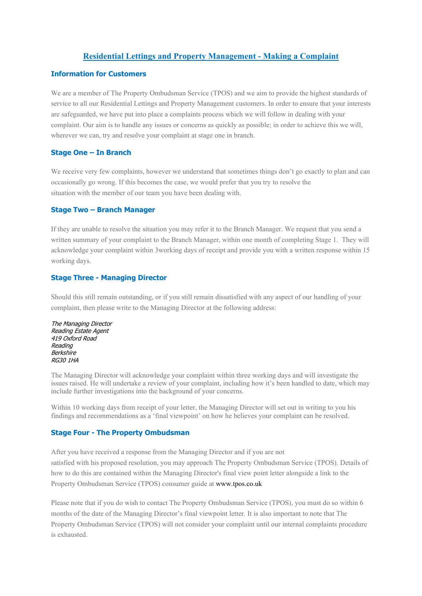# **Residential Lettings and Property Management - Making a Complaint**

# **Information for Customers**

We are a member of The Property Ombudsman Service (TPOS) and we aim to provide the highest standards of service to all our Residential Lettings and Property Management customers. In order to ensure that your interests are safeguarded, we have put into place a complaints process which we will follow in dealing with your complaint. Our aim is to handle any issues or concerns as quickly as possible; in order to achieve this we will, wherever we can, try and resolve your complaint at stage one in branch.

### **Stage One – In Branch**

We receive very few complaints, however we understand that sometimes things don't go exactly to plan and can occasionally go wrong. If this becomes the case, we would prefer that you try to resolve the situation with the member of our team you have been dealing with.

#### **Stage Two – Branch Manager**

If they are unable to resolve the situation you may refer it to the Branch Manager. We request that you send a written summary of your complaint to the Branch Manager, within one month of completing Stage 1. They will acknowledge your complaint within 3working days of receipt and provide you with a written response within 15 working days.

### **Stage Three - Managing Director**

Should this still remain outstanding, or if you still remain dissatisfied with any aspect of our handling of your complaint, then please write to the Managing Director at the following address:

The Managing Director Reading Estate Agent 419 Oxford Road Reading **Berkshire** RG30 1HA

The Managing Director will acknowledge your complaint within three working days and will investigate the issues raised. He will undertake a review of your complaint, including how it's been handled to date, which may include further investigations into the background of your concerns.

Within 10 working days from receipt of your letter, the Managing Director will set out in writing to you his findings and recommendations as a 'final viewpoint' on how he believes your complaint can be resolved.

### **Stage Four - The Property Ombudsman**

After you have received a response from the Managing Director and if you are not satisfied with his proposed resolution, you may approach The Property Ombudsman Service (TPOS). Details of how to do this are contained within the Managing Director's final view point letter alongside a link to the Property Ombudsman Service (TPOS) consumer guide a[t www.tpos.co.uk](http://www.tpos.co.uk/)

Please note that if you do wish to contact The Property Ombudsman Service (TPOS), you must do so within 6 months of the date of the Managing Director's final viewpoint letter. It is also important to note that The Property Ombudsman Service (TPOS) will not consider your complaint until our internal complaints procedure is exhausted.